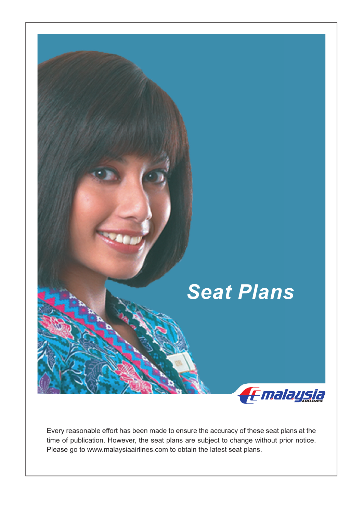

Every reasonable effort has been made to ensure the accuracy of these seat plans at the time of publication. However, the seat plans are subject to change without prior notice. Please go to www.malaysiaairlines.com to obtain the latest seat plans.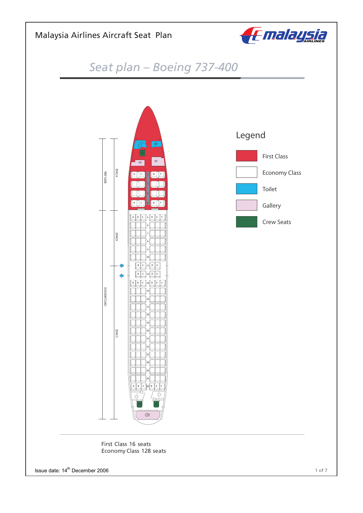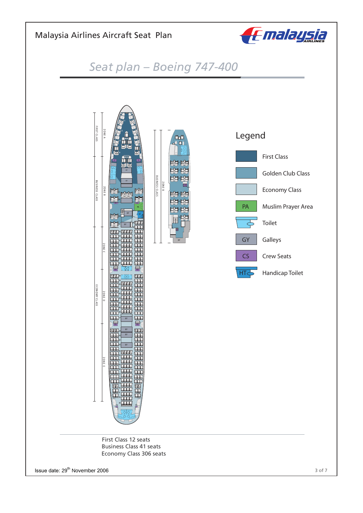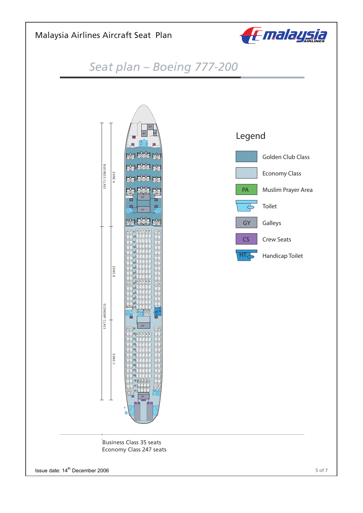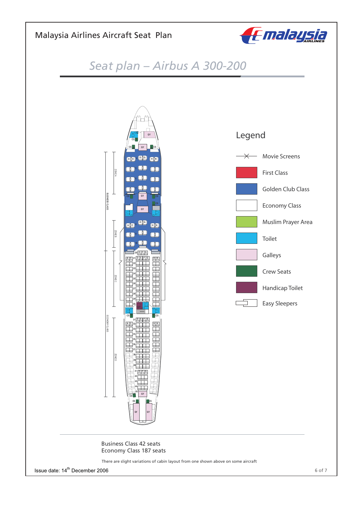